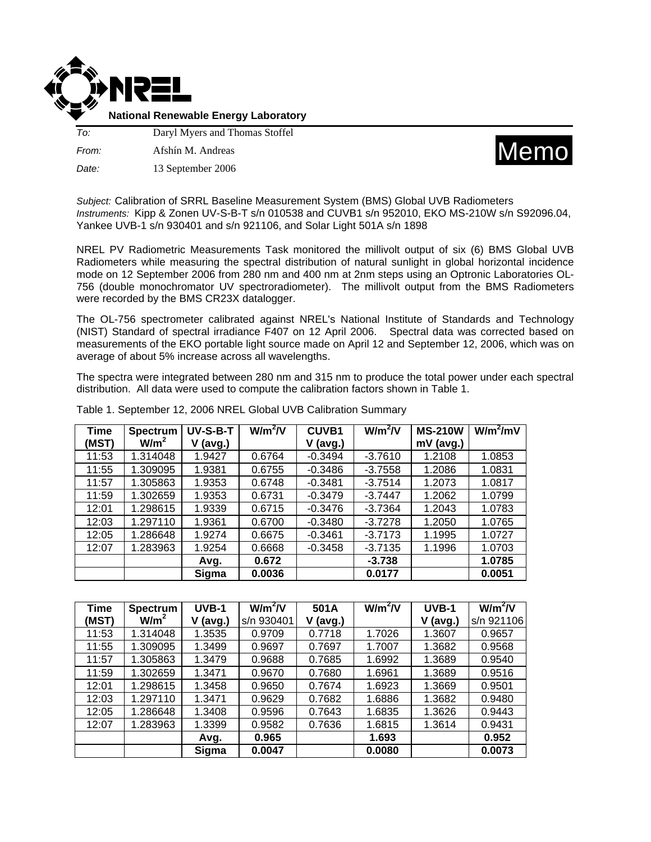

**National Renewable Energy Laboratory**

*To:* Daryl Myers and Thomas Stoffel *From:* Afshín M. Andreas *Date:* 13 September 2006



*Subject:* Calibration of SRRL Baseline Measurement System (BMS) Global UVB Radiometers *Instruments:* Kipp & Zonen UV-S-B-T s/n 010538 and CUVB1 s/n 952010, EKO MS-210W s/n S92096.04, Yankee UVB-1 s/n 930401 and s/n 921106, and Solar Light 501A s/n 1898

NREL PV Radiometric Measurements Task monitored the millivolt output of six (6) BMS Global UVB Radiometers while measuring the spectral distribution of natural sunlight in global horizontal incidence mode on 12 September 2006 from 280 nm and 400 nm at 2nm steps using an Optronic Laboratories OL-756 (double monochromator UV spectroradiometer). The millivolt output from the BMS Radiometers were recorded by the BMS CR23X datalogger.

The OL-756 spectrometer calibrated against NREL's National Institute of Standards and Technology (NIST) Standard of spectral irradiance F407 on 12 April 2006. Spectral data was corrected based on measurements of the EKO portable light source made on April 12 and September 12, 2006, which was on average of about 5% increase across all wavelengths.

The spectra were integrated between 280 nm and 315 nm to produce the total power under each spectral distribution. All data were used to compute the calibration factors shown in Table 1.

| Time  | <b>Spectrum</b>  | UV-S-B-T | $W/m^2/V$ | <b>CUVB1</b> | $W/m^2/V$ | <b>MS-210W</b> | $W/m^2/mV$ |
|-------|------------------|----------|-----------|--------------|-----------|----------------|------------|
| (MST) | W/m <sup>2</sup> | (avg.)   |           | $V$ (avg.)   |           | $mV$ (avg.)    |            |
| 11:53 | 1.314048         | 1.9427   | 0.6764    | $-0.3494$    | $-3.7610$ | 1.2108         | 1.0853     |
| 11:55 | 1.309095         | 1.9381   | 0.6755    | $-0.3486$    | $-3.7558$ | 1.2086         | 1.0831     |
| 11:57 | 1.305863         | 1.9353   | 0.6748    | $-0.3481$    | $-3.7514$ | 1.2073         | 1.0817     |
| 11:59 | 1.302659         | 1.9353   | 0.6731    | $-0.3479$    | $-3.7447$ | 1.2062         | 1.0799     |
| 12:01 | 1.298615         | 1.9339   | 0.6715    | $-0.3476$    | $-3.7364$ | 1.2043         | 1.0783     |
| 12:03 | 1.297110         | 1.9361   | 0.6700    | $-0.3480$    | $-3.7278$ | 1.2050         | 1.0765     |
| 12:05 | 1.286648         | 1.9274   | 0.6675    | $-0.3461$    | $-3.7173$ | 1.1995         | 1.0727     |
| 12:07 | 1.283963         | 1.9254   | 0.6668    | $-0.3458$    | $-3.7135$ | 1.1996         | 1.0703     |
|       |                  | Avg.     | 0.672     |              | $-3.738$  |                | 1.0785     |
|       |                  | Sigma    | 0.0036    |              | 0.0177    |                | 0.0051     |

Table 1. September 12, 2006 NREL Global UVB Calibration Summary

| <b>Time</b> | <b>Spectrum</b>  | UVB-1  | $W/m^2/V$  | 501A     | $W/m^2/V$ | UVB-1       | $W/m^2/V$  |
|-------------|------------------|--------|------------|----------|-----------|-------------|------------|
| (MST)       | W/m <sup>2</sup> | (avg.) | s/n 930401 | V (avg.) |           | v<br>(avg.) | s/n 921106 |
| 11:53       | 1.314048         | 1.3535 | 0.9709     | 0.7718   | 1.7026    | 1.3607      | 0.9657     |
| 11:55       | 1.309095         | 1.3499 | 0.9697     | 0.7697   | 1.7007    | 1.3682      | 0.9568     |
| 11:57       | 1.305863         | 1.3479 | 0.9688     | 0.7685   | 1.6992    | 1.3689      | 0.9540     |
| 11:59       | 1.302659         | 1.3471 | 0.9670     | 0.7680   | 1.6961    | 1.3689      | 0.9516     |
| 12:01       | 1.298615         | 1.3458 | 0.9650     | 0.7674   | 1.6923    | 1.3669      | 0.9501     |
| 12:03       | 1.297110         | 1.3471 | 0.9629     | 0.7682   | 1.6886    | 1.3682      | 0.9480     |
| 12:05       | 1.286648         | 1.3408 | 0.9596     | 0.7643   | 1.6835    | 1.3626      | 0.9443     |
| 12:07       | 1.283963         | 1.3399 | 0.9582     | 0.7636   | 1.6815    | 1.3614      | 0.9431     |
|             |                  | Avg.   | 0.965      |          | 1.693     |             | 0.952      |
|             |                  | Sigma  | 0.0047     |          | 0.0080    |             | 0.0073     |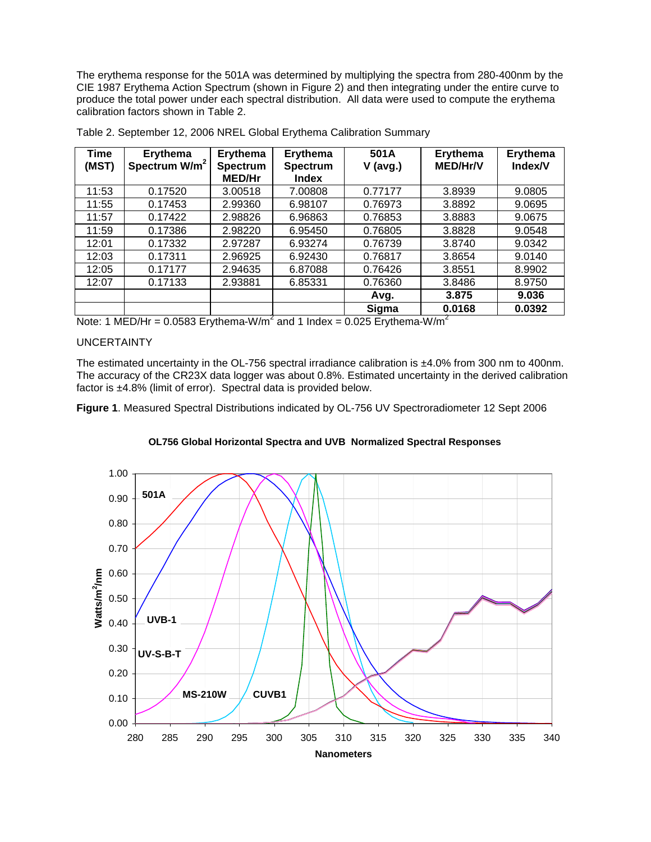The erythema response for the 501A was determined by multiplying the spectra from 280-400nm by the CIE 1987 Erythema Action Spectrum (shown in Figure 2) and then integrating under the entire curve to produce the total power under each spectral distribution. All data were used to compute the erythema calibration factors shown in Table 2.

| <b>Time</b><br>(MST) | <b>Erythema</b><br>Spectrum W/m <sup>2</sup> | Erythema<br><b>Spectrum</b><br><b>MED/Hr</b> | Erythema<br><b>Spectrum</b><br>Index | 501A<br>$V$ (avg.) | <b>Erythema</b><br><b>MED/Hr/V</b> | Erythema<br>Index/V |
|----------------------|----------------------------------------------|----------------------------------------------|--------------------------------------|--------------------|------------------------------------|---------------------|
| 11:53                | 0.17520                                      | 3.00518                                      | 7.00808                              | 0.77177            | 3.8939                             | 9.0805              |
| 11:55                | 0.17453                                      | 2.99360                                      | 6.98107                              | 0.76973            | 3.8892                             | 9.0695              |
| 11:57                | 0.17422                                      | 2.98826                                      | 6.96863                              | 0.76853            | 3.8883                             | 9.0675              |
| 11:59                | 0.17386                                      | 2.98220                                      | 6.95450                              | 0.76805            | 3.8828                             | 9.0548              |
| 12:01                | 0.17332                                      | 2.97287                                      | 6.93274                              | 0.76739            | 3.8740                             | 9.0342              |
| 12:03                | 0.17311                                      | 2.96925                                      | 6.92430                              | 0.76817            | 3.8654                             | 9.0140              |
| 12:05                | 0.17177                                      | 2.94635                                      | 6.87088                              | 0.76426            | 3.8551                             | 8.9902              |
| 12:07                | 0.17133                                      | 2.93881                                      | 6.85331                              | 0.76360            | 3.8486                             | 8.9750              |
|                      |                                              |                                              |                                      | Avg.               | 3.875                              | 9.036               |
|                      |                                              |                                              |                                      | Sigma              | 0.0168                             | 0.0392              |

Table 2. September 12, 2006 NREL Global Erythema Calibration Summary

Note: 1 MED/Hr = 0.0583 Erythema-W/m<sup>2</sup> and 1 Index = 0.025 Erythema-W/m<sup>2</sup>

## UNCERTAINTY

The estimated uncertainty in the OL-756 spectral irradiance calibration is ±4.0% from 300 nm to 400nm. The accuracy of the CR23X data logger was about 0.8%. Estimated uncertainty in the derived calibration factor is ±4.8% (limit of error). Spectral data is provided below.

**Figure 1**. Measured Spectral Distributions indicated by OL-756 UV Spectroradiometer 12 Sept 2006



## **OL756 Global Horizontal Spectra and UVB Normalized Spectral Responses**